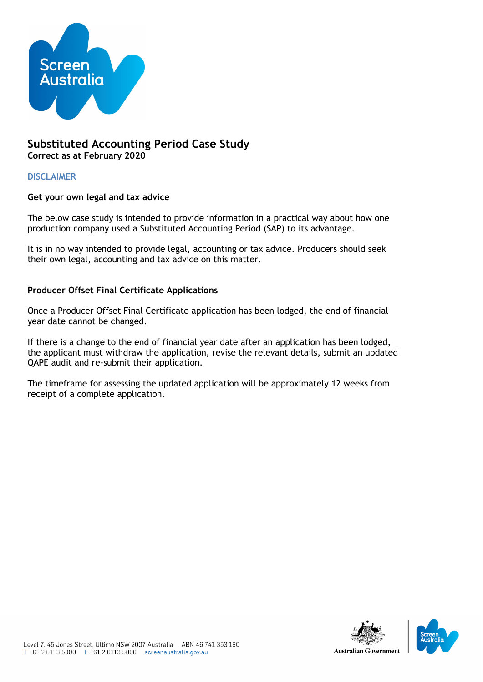

# **Substituted Accounting Period Case Study Correct as at February 2020**

**DISCLAIMER**

## **Get your own legal and tax advice**

The below case study is intended to provide information in a practical way about how one production company used a Substituted Accounting Period (SAP) to its advantage.

It is in no way intended to provide legal, accounting or tax advice. Producers should seek their own legal, accounting and tax advice on this matter.

## **Producer Offset Final Certificate Applications**

Once a Producer Offset Final Certificate application has been lodged, the end of financial year date cannot be changed.

If there is a change to the end of financial year date after an application has been lodged, the applicant must withdraw the application, revise the relevant details, submit an updated QAPE audit and re-submit their application.

The timeframe for assessing the updated application will be approximately 12 weeks from receipt of a complete application.

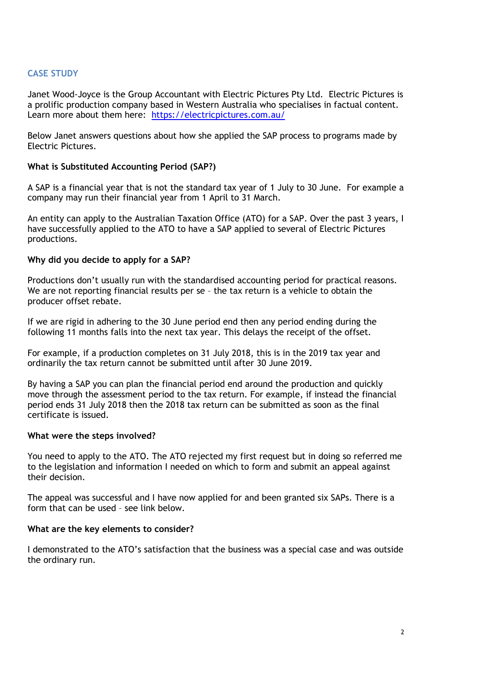## **CASE STUDY**

Janet Wood-Joyce is the Group Accountant with Electric Pictures Pty Ltd. Electric Pictures is a prolific production company based in Western Australia who specialises in factual content. Learn more about them here: <https://electricpictures.com.au/>

Below Janet answers questions about how she applied the SAP process to programs made by Electric Pictures.

#### **What is Substituted Accounting Period (SAP?)**

A SAP is a financial year that is not the standard tax year of 1 July to 30 June. For example a company may run their financial year from 1 April to 31 March.

An entity can apply to the Australian Taxation Office (ATO) for a SAP. Over the past 3 years, I have successfully applied to the ATO to have a SAP applied to several of Electric Pictures productions.

#### **Why did you decide to apply for a SAP?**

Productions don't usually run with the standardised accounting period for practical reasons. We are not reporting financial results per se – the tax return is a vehicle to obtain the producer offset rebate.

If we are rigid in adhering to the 30 June period end then any period ending during the following 11 months falls into the next tax year. This delays the receipt of the offset.

For example, if a production completes on 31 July 2018, this is in the 2019 tax year and ordinarily the tax return cannot be submitted until after 30 June 2019.

By having a SAP you can plan the financial period end around the production and quickly move through the assessment period to the tax return. For example, if instead the financial period ends 31 July 2018 then the 2018 tax return can be submitted as soon as the final certificate is issued.

#### **What were the steps involved?**

You need to apply to the ATO. The ATO rejected my first request but in doing so referred me to the legislation and information I needed on which to form and submit an appeal against their decision.

The appeal was successful and I have now applied for and been granted six SAPs. There is a form that can be used – see link below.

## **What are the key elements to consider?**

I demonstrated to the ATO's satisfaction that the business was a special case and was outside the ordinary run.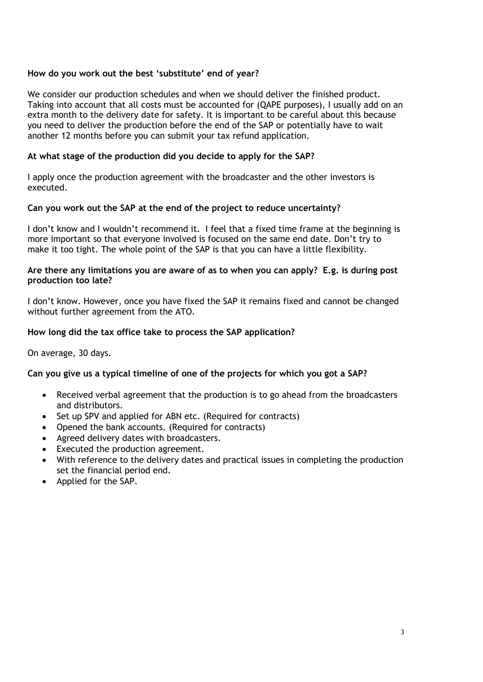## **How do you work out the best 'substitute' end of year?**

We consider our production schedules and when we should deliver the finished product. Taking into account that all costs must be accounted for (QAPE purposes), I usually add on an extra month to the delivery date for safety. It is important to be careful about this because you need to deliver the production before the end of the SAP or potentially have to wait another 12 months before you can submit your tax refund application.

## **At what stage of the production did you decide to apply for the SAP?**

I apply once the production agreement with the broadcaster and the other investors is executed.

## **Can you work out the SAP at the end of the project to reduce uncertainty?**

I don't know and I wouldn't recommend it. I feel that a fixed time frame at the beginning is more important so that everyone involved is focused on the same end date. Don't try to make it too tight. The whole point of the SAP is that you can have a little flexibility.

### **Are there any limitations you are aware of as to when you can apply? E.g. is during post production too late?**

I don't know. However, once you have fixed the SAP it remains fixed and cannot be changed without further agreement from the ATO.

## **How long did the tax office take to process the SAP application?**

On average, 30 days.

## **Can you give us a typical timeline of one of the projects for which you got a SAP?**

- Received verbal agreement that the production is to go ahead from the broadcasters and distributors.
- Set up SPV and applied for ABN etc. (Required for contracts)
- Opened the bank accounts. (Required for contracts)
- Agreed delivery dates with broadcasters.
- Executed the production agreement.
- With reference to the delivery dates and practical issues in completing the production set the financial period end.
- Applied for the SAP.